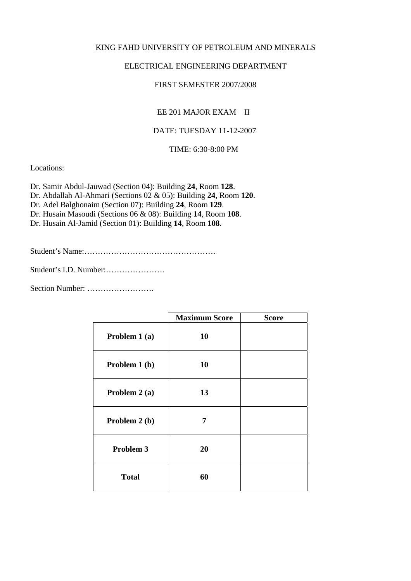#### KING FAHD UNIVERSITY OF PETROLEUM AND MINERALS

### ELECTRICAL ENGINEERING DEPARTMENT

### FIRST SEMESTER 2007/2008

# EE 201 MAJOR EXAM II

## DATE: TUESDAY 11-12-2007

TIME: 6:30-8:00 PM

Locations:

Dr. Samir Abdul-Jauwad (Section 04): Building **24**, Room **128**. Dr. Abdallah Al-Ahmari (Sections 02 & 05): Building **24**, Room **120**.

Dr. Adel Balghonaim (Section 07): Building **24**, Room **129**.

Dr. Husain Masoudi (Sections 06 & 08): Building **14**, Room **108**.

Dr. Husain Al-Jamid (Section 01): Building **14**, Room **108**.

Student's Name:………………………………………….

Student's I.D. Number:………………….

Section Number: …………………….

|                | <b>Maximum Score</b> | <b>Score</b> |
|----------------|----------------------|--------------|
| Problem 1 (a)  | 10                   |              |
| Problem 1 (b)  | 10                   |              |
| Problem $2(a)$ | 13                   |              |
| Problem 2 (b)  | 7                    |              |
| Problem 3      | 20                   |              |
| <b>Total</b>   | 60                   |              |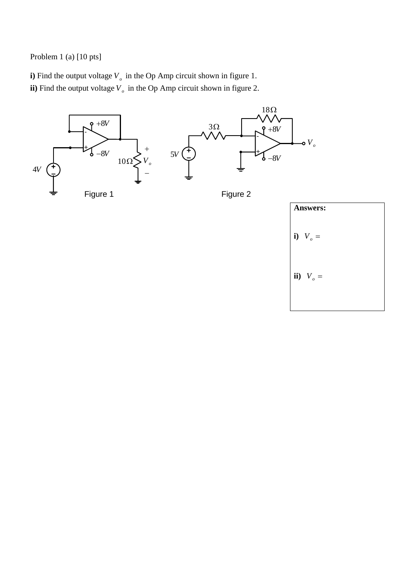Problem 1 (a) [10 pts]

**i**) Find the output voltage  $V_o$  in the Op Amp circuit shown in figure 1. **ii**) Find the output voltage  $V<sub>o</sub>$  in the Op Amp circuit shown in figure 2.



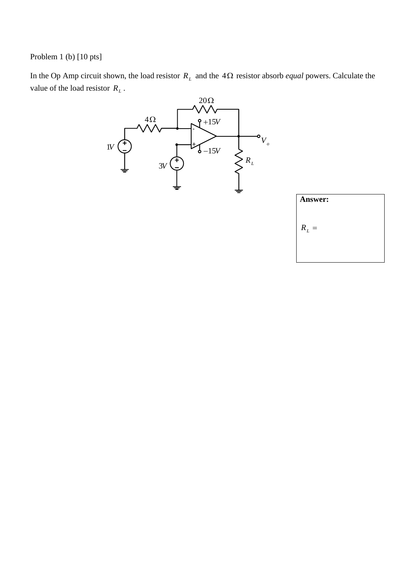Problem 1 (b) [10 pts]

In the Op Amp circuit shown, the load resistor  $R_L$  and the  $4\Omega$  resistor absorb *equal* powers. Calculate the value of the load resistor  $R_L$ .



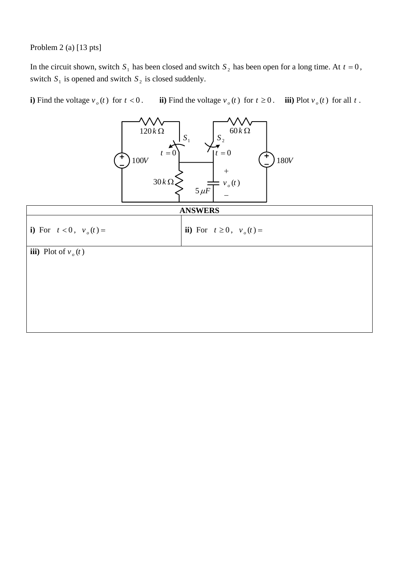Problem 2 (a) [13 pts]

In the circuit shown, switch  $S_1$  has been closed and switch  $S_2$  has been open for a long time. At  $t = 0$ , switch  $S_1$  is opened and switch  $S_2$  is closed suddenly.

**i**) Find the voltage  $v_o(t)$  for  $t < 0$ . **iii**) Find the voltage  $v_o(t)$  for  $t \ge 0$ . **iii**) Plot  $v_o(t)$  for all  $t$ .

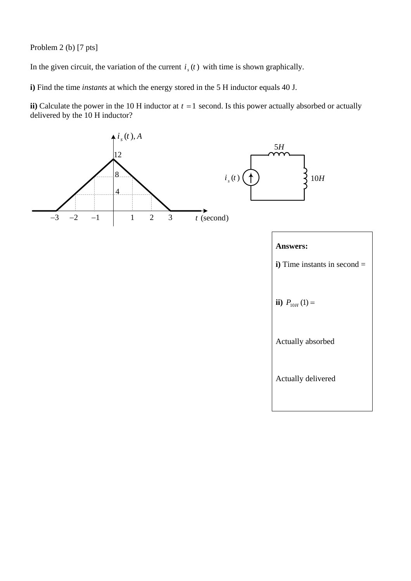Problem 2 (b) [7 pts]

In the given circuit, the variation of the current  $i_{\gamma}(t)$  with time is shown graphically.

**i)** Find the time *instants* at which the energy stored in the 5 H inductor equals 40 J.

**ii**) Calculate the power in the 10 H inductor at  $t = 1$  second. Is this power actually absorbed or actually delivered by the 10 H inductor?